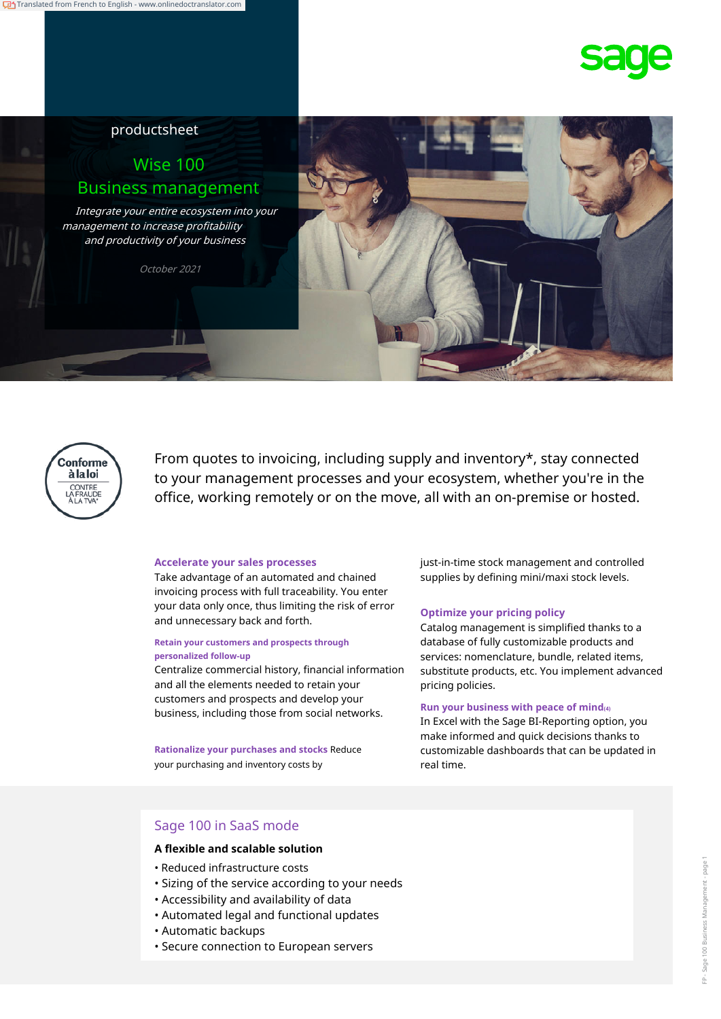# productsheet

# Wise 100 Business management

Integrate your entire ecosystem into your management to increase profitability and productivity of your business

October 2021





From quotes to invoicing, including supply and inventory\*, stay connected to your management processes and your ecosystem, whether you're in the office, working remotely or on the move, all with an on-premise or hosted.

#### **Accelerate your sales processes**

Take advantage of an automated and chained invoicing process with full traceability. You enter your data only once, thus limiting the risk of error and unnecessary back and forth.

#### **Retain your customers and prospects through personalized follow-up**

Centralize commercial history, financial information and all the elements needed to retain your customers and prospects and develop your business, including those from social networks. **Run your business with peace of mind(4)**

**Rationalize your purchases and stocks** Reduce your purchasing and inventory costs by

just-in-time stock management and controlled supplies by defining mini/maxi stock levels.

#### **Optimize your pricing policy**

Catalog management is simplified thanks to a database of fully customizable products and services: nomenclature, bundle, related items, substitute products, etc. You implement advanced pricing policies.

In Excel with the Sage BI-Reporting option, you make informed and quick decisions thanks to customizable dashboards that can be updated in real time.

## Sage 100 in SaaS mode

### **A flexible and scalable solution**

- Reduced infrastructure costs
- Sizing of the service according to your needs
- Accessibility and availability of data
- Automated legal and functional updates
- Automatic backups
- Secure connection to European servers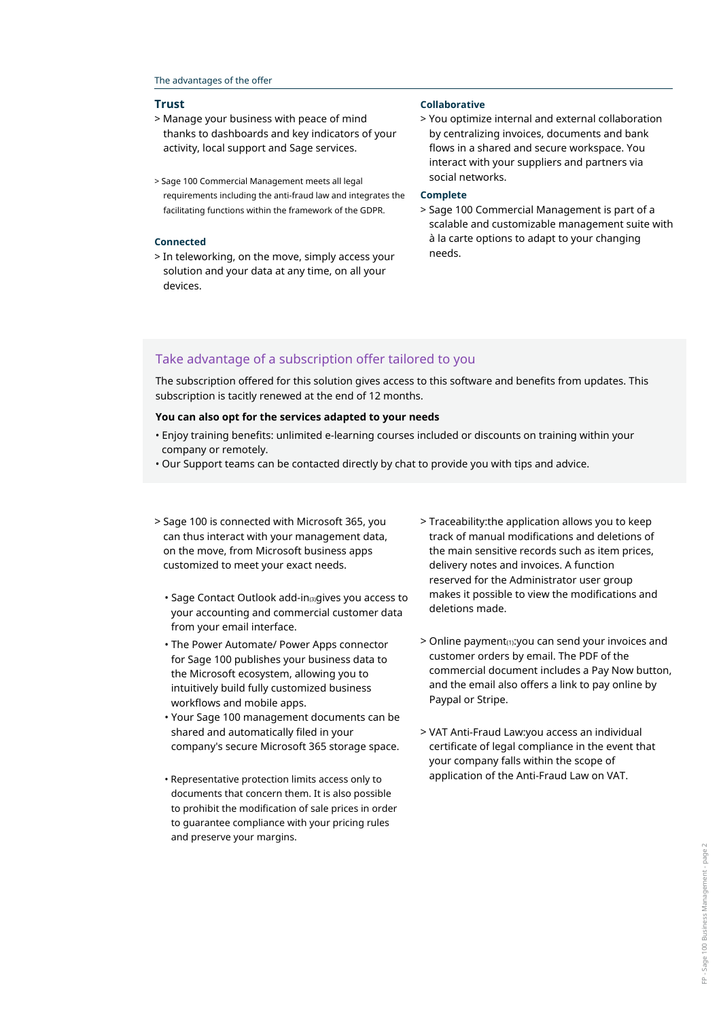#### The advantages of the offer

- > Manage your business with peace of mind thanks to dashboards and key indicators of your activity, local support and Sage services.
- social networks. > Sage 100 Commercial Management meets all legal requirements including the anti-fraud law and integrates the facilitating functions within the framework of the GDPR.

#### **Connected**

> In teleworking, on the move, simply access your solution and your data at any time, on all your devices.

#### **Trust Collaborative**

> You optimize internal and external collaboration by centralizing invoices, documents and bank flows in a shared and secure workspace. You interact with your suppliers and partners via

#### **Complete**

> Sage 100 Commercial Management is part of a scalable and customizable management suite with à la carte options to adapt to your changing needs.

### Take advantage of a subscription offer tailored to you

The subscription offered for this solution gives access to this software and benefits from updates. This subscription is tacitly renewed at the end of 12 months.

#### **You can also opt for the services adapted to your needs**

- Enjoy training benefits: unlimited e-learning courses included or discounts on training within your company or remotely.
- Our Support teams can be contacted directly by chat to provide you with tips and advice.
- > Sage 100 is connected with Microsoft 365, you can thus interact with your management data, on the move, from Microsoft business apps customized to meet your exact needs.
	- Sage Contact Outlook add-in(3)gives you access to your accounting and commercial customer data from your email interface.
	- The Power Automate/ Power Apps connector for Sage 100 publishes your business data to the Microsoft ecosystem, allowing you to intuitively build fully customized business workflows and mobile apps.
	- Your Sage 100 management documents can be shared and automatically filed in your company's secure Microsoft 365 storage space.
	- documents that concern them. It is also possible to prohibit the modification of sale prices in order to guarantee compliance with your pricing rules and preserve your margins.
- > Traceability:the application allows you to keep track of manual modifications and deletions of the main sensitive records such as item prices, delivery notes and invoices. A function reserved for the Administrator user group makes it possible to view the modifications and deletions made.
- > Online payment(1):you can send your invoices and customer orders by email. The PDF of the commercial document includes a Pay Now button, and the email also offers a link to pay online by Paypal or Stripe.
- > VAT Anti-Fraud Law:you access an individual certificate of legal compliance in the event that your company falls within the scope of • Representative protection limits access only to application of the Anti-Fraud Law on VAT.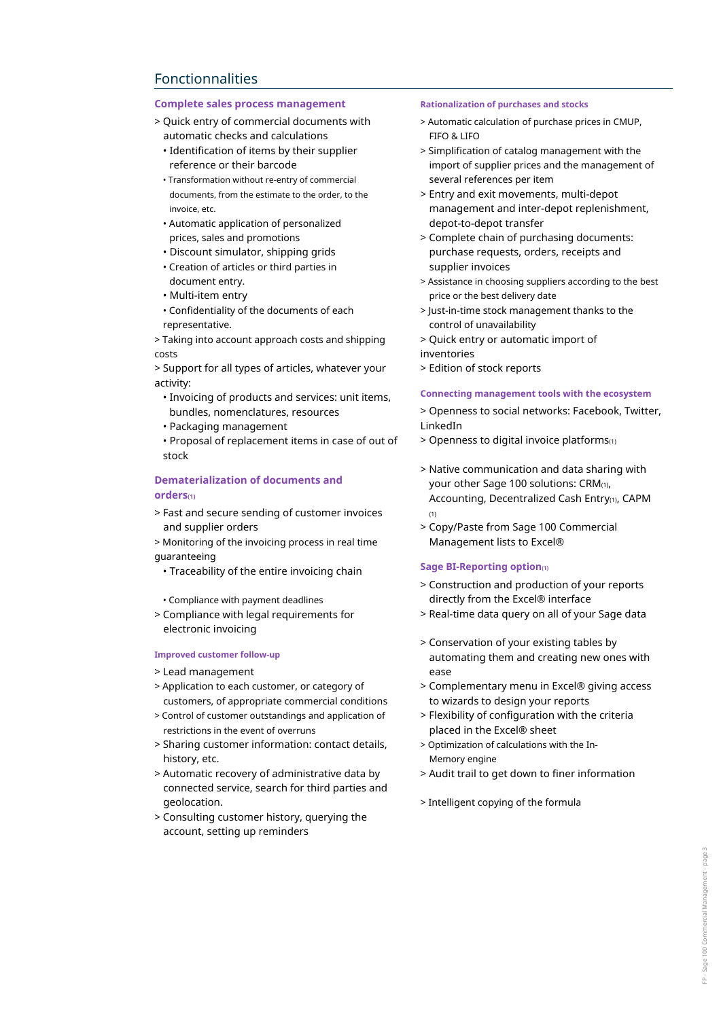# Fonctionnalities

### **Complete sales process management Rationalization of purchases and stocks**

- > Quick entry of commercial documents with automatic checks and calculations
	- Identification of items by their supplier reference or their barcode
	- Transformation without re-entry of commercial documents, from the estimate to the order, to the invoice, etc.
	- Automatic application of personalized prices, sales and promotions
- Discount simulator, shipping grids
- Creation of articles or third parties in document entry.
- Multi-item entry
- Confidentiality of the documents of each representative.

> Taking into account approach costs and shipping costs

> Support for all types of articles, whatever your activity:

- Invoicing of products and services: unit items, bundles, nomenclatures, resources
- Packaging management

• Proposal of replacement items in case of out of stock

### **Dematerialization of documents and orders(1)**

- > Fast and secure sending of customer invoices and supplier orders
- > Monitoring of the invoicing process in real time guaranteeing
	- Traceability of the entire invoicing chain
- Compliance with payment deadlines
- > Compliance with legal requirements for electronic invoicing

#### **Improved customer follow-up**

- > Lead management
- > Application to each customer, or category of customers, of appropriate commercial conditions
- > Control of customer outstandings and application of restrictions in the event of overruns
- > Sharing customer information: contact details, history, etc.
- > Automatic recovery of administrative data by connected service, search for third parties and geolocation.
- > Consulting customer history, querying the account, setting up reminders

- > Automatic calculation of purchase prices in CMUP, FIFO & LIFO
- > Simplification of catalog management with the import of supplier prices and the management of several references per item
- > Entry and exit movements, multi-depot management and inter-depot replenishment, depot-to-depot transfer
- > Complete chain of purchasing documents: purchase requests, orders, receipts and supplier invoices
- > Assistance in choosing suppliers according to the best price or the best delivery date
- > Just-in-time stock management thanks to the control of unavailability
- > Quick entry or automatic import of
- inventories
- > Edition of stock reports

#### **Connecting management tools with the ecosystem**

- > Openness to social networks: Facebook, Twitter, LinkedIn
- > Openness to digital invoice platforms(1)
- > Native communication and data sharing with your other Sage 100 solutions: CRM(1), Accounting, Decentralized Cash Entry(1), CAPM  $(1)$
- > Copy/Paste from Sage 100 Commercial Management lists to Excel®

#### **Sage BI-Reporting option(1)**

- > Construction and production of your reports directly from the Excel® interface
- > Real-time data query on all of your Sage data
- > Conservation of your existing tables by automating them and creating new ones with ease
- > Complementary menu in Excel® giving access to wizards to design your reports
- > Flexibility of configuration with the criteria placed in the Excel® sheet
- > Optimization of calculations with the In-Memory engine
- > Audit trail to get down to finer information
- > Intelligent copying of the formula